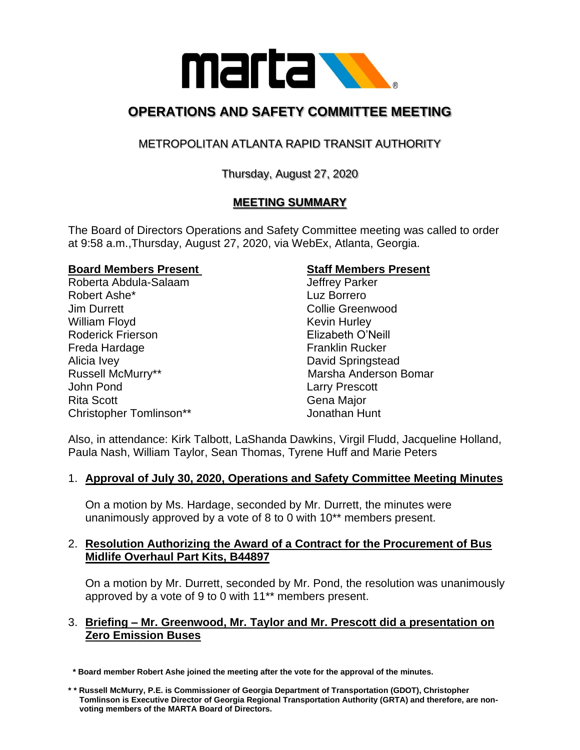

# **OPERATIONS AND SAFETY COMMITTEE MEETING**

# METROPOLITAN ATLANTA RAPID TRANSIT AUTHORITY

# Thursday, August 27, 2020

# **MEETING SUMMARY**

The Board of Directors Operations and Safety Committee meeting was called to order at 9:58 a.m.,Thursday, August 27, 2020, via WebEx, Atlanta, Georgia.

#### **Board Members Present Staff Members Present**

Roberta Abdula-Salaam Jeffrey Parker Robert Ashe\* Luz Borrero **Jim Durrett** Collie Greenwood William Floyd **Kevin Hurley** Roderick Frierson Elizabeth O'Neill Freda Hardage Franklin Rucker Alicia Ivey **David Springstead** Russell McMurry\*\* The Controller of Marsha Anderson Bomar John Pond Larry Prescott Rita Scott **Gena Major** Gena Major Christopher Tomlinson\*\* Jonathan Hunt

Also, in attendance: Kirk Talbott, LaShanda Dawkins, Virgil Fludd, Jacqueline Holland, Paula Nash, William Taylor, Sean Thomas, Tyrene Huff and Marie Peters

## 1. **Approval of July 30, 2020, Operations and Safety Committee Meeting Minutes**

On a motion by Ms. Hardage, seconded by Mr. Durrett, the minutes were unanimously approved by a vote of 8 to 0 with 10\*\* members present.

### 2. **Resolution Authorizing the Award of a Contract for the Procurement of Bus Midlife Overhaul Part Kits, B44897**

On a motion by Mr. Durrett, seconded by Mr. Pond, the resolution was unanimously approved by a vote of 9 to 0 with 11\*\* members present.

#### 3. **Briefing – Mr. Greenwood, Mr. Taylor and Mr. Prescott did a presentation on Zero Emission Buses**

 **\* Board member Robert Ashe joined the meeting after the vote for the approval of the minutes.** 

**<sup>\* \*</sup> Russell McMurry, P.E. is Commissioner of Georgia Department of Transportation (GDOT), Christopher Tomlinson is Executive Director of Georgia Regional Transportation Authority (GRTA) and therefore, are non voting members of the MARTA Board of Directors.**